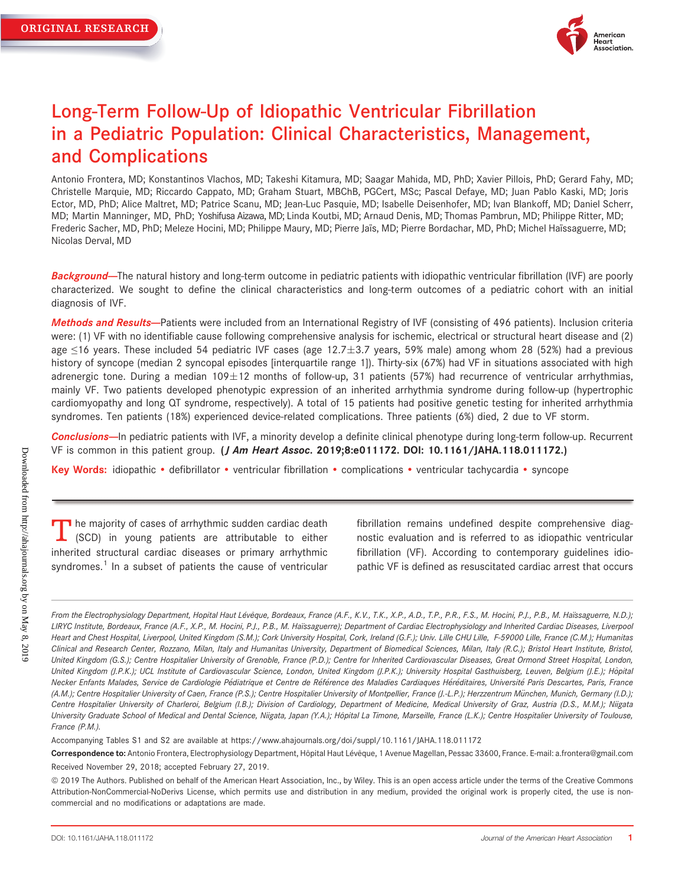

# Long-Term Follow-Up of Idiopathic Ventricular Fibrillation in a Pediatric Population: Clinical Characteristics, Management, and Complications

Antonio Frontera, MD; Konstantinos Vlachos, MD; Takeshi Kitamura, MD; Saagar Mahida, MD, PhD; Xavier Pillois, PhD; Gerard Fahy, MD; Christelle Marquie, MD; Riccardo Cappato, MD; Graham Stuart, MBChB, PGCert, MSc; Pascal Defaye, MD; Juan Pablo Kaski, MD; Joris Ector, MD, PhD; Alice Maltret, MD; Patrice Scanu, MD; Jean-Luc Pasquie, MD; Isabelle Deisenhofer, MD; Ivan Blankoff, MD; Daniel Scherr, MD; Martin Manninger, MD, PhD; Yoshifusa Aizawa, MD; Linda Koutbi, MD; Arnaud Denis, MD; Thomas Pambrun, MD; Philippe Ritter, MD; Frederic Sacher, MD, PhD; Meleze Hocini, MD; Philippe Maury, MD; Pierre Jaïs, MD; Pierre Bordachar, MD, PhD; Michel Haïssaguerre, MD; Nicolas Derval, MD

Background-The natural history and long-term outcome in pediatric patients with idiopathic ventricular fibrillation (IVF) are poorly characterized. We sought to define the clinical characteristics and long-term outcomes of a pediatric cohort with an initial diagnosis of IVF.

Methods and Results-<br>
Patients were included from an International Registry of IVF (consisting of 496 patients). Inclusion criteria were: (1) VF with no identifiable cause following comprehensive analysis for ischemic, electrical or structural heart disease and (2) age  $\leq$ 16 years. These included 54 pediatric IVF cases (age 12.7 $\pm$ 3.7 years, 59% male) among whom 28 (52%) had a previous history of syncope (median 2 syncopal episodes [interquartile range 1]). Thirty-six (67%) had VF in situations associated with high adrenergic tone. During a median  $109 \pm 12$  months of follow-up, 31 patients (57%) had recurrence of ventricular arrhythmias, mainly VF. Two patients developed phenotypic expression of an inherited arrhythmia syndrome during follow-up (hypertrophic cardiomyopathy and long QT syndrome, respectively). A total of 15 patients had positive genetic testing for inherited arrhythmia syndromes. Ten patients (18%) experienced device-related complications. Three patients (6%) died, 2 due to VF storm.

Conclusions-In pediatric patients with IVF, a minority develop a definite clinical phenotype during long-term follow-up. Recurrent VF is common in this patient group. (*J Am Heart Assoc.* 2019;8:e011172. DOI: [10.1161/JAHA.118.011172.](info:doi/10.1161/JAHA.118.011172))

Key Words: idiopathic • defibrillator • ventricular fibrillation • complications • ventricular tachycardia • syncope

 $\blacksquare$  he majority of cases of arrhythmic sudden cardiac death (SCD) in young patients are attributable to either inherited structural cardiac diseases or primary arrhythmic syndromes.<sup>1</sup> In a subset of patients the cause of ventricular fibrillation remains undefined despite comprehensive diagnostic evaluation and is referred to as idiopathic ventricular fibrillation (VF). According to contemporary guidelines idiopathic VF is defined as resuscitated cardiac arrest that occurs

Accompanying Tables S1 and S2 are available at<https://www.ahajournals.org/doi/suppl/10.1161/JAHA.118.011172>

From the Electrophysiology Department, Hopital Haut Lévêque, Bordeaux, France (A.F., K.V., T.K., X.P., A.D., T.P., P.R., F.S., M. Hocini, P.J., P.B., M. Haïssaguerre, N.D.); LIRYC Institute, Bordeaux, France (A.F., X.P., M. Hocini, P.J., P.B., M. Haïssaguerre); Department of Cardiac Electrophysiology and Inherited Cardiac Diseases, Liverpool Heart and Chest Hospital, Liverpool, United Kingdom (S.M.); Cork University Hospital, Cork, Ireland (G.F.); Univ. Lille CHU Lille, F-59000 Lille, France (C.M.); Humanitas Clinical and Research Center, Rozzano, Milan, Italy and Humanitas University, Department of Biomedical Sciences, Milan, Italy (R.C.); Bristol Heart Institute, Bristol, United Kingdom (G.S.); Centre Hospitalier University of Grenoble, France (P.D.); Centre for Inherited Cardiovascular Diseases, Great Ormond Street Hospital, London, United Kingdom (J.P.K.); UCL Institute of Cardiovascular Science, London, United Kingdom (J.P.K.); University Hospital Gasthuisberg, Leuven, Belgium (J.E.); Hôpital Necker Enfants Malades, Service de Cardiologie Pédiatrique et Centre de Référence des Maladies Cardiaques Héréditaires, Université Paris Descartes, Paris, France (A.M.); Centre Hospitalier University of Caen, France (P.S.); Centre Hospitalier University of Montpellier, France (J.-L.P.); Herzzentrum München, Munich, Germany (I.D.); Centre Hospitalier University of Charleroi, Belgium (I.B.); Division of Cardiology, Department of Medicine, Medical University of Graz, Austria (D.S., M.M.); Niigata University Graduate School of Medical and Dental Science, Niigata, Japan (Y.A.); Hôpital La Timone, Marseille, France (L.K.); Centre Hospitalier University of Toulouse, France (P.M.).

Correspondence to: Antonio Frontera, Electrophysiology Department, Hôpital Haut Lévêque, 1 Avenue Magellan, Pessac 33600, France. E-mail: [a.frontera@gmail.com](mailto:a.frontera@gmail.com) Received November 29, 2018; accepted February 27, 2019.

ª 2019 The Authors. Published on behalf of the American Heart Association, Inc., by Wiley. This is an open access article under the terms of the [Creative Commons](http://creativecommons.org/licenses/by-nc-nd/4.0/) [Attribution-NonCommercial-NoDerivs](http://creativecommons.org/licenses/by-nc-nd/4.0/) License, which permits use and distribution in any medium, provided the original work is properly cited, the use is noncommercial and no modifications or adaptations are made.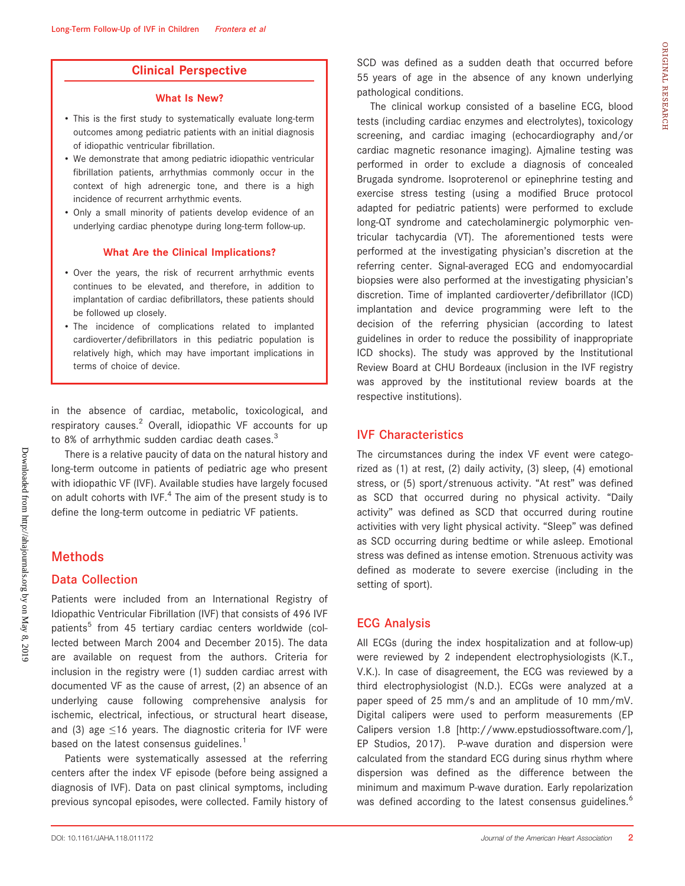# Clinical Perspective

#### What Is New?

- This is the first study to systematically evaluate long-term outcomes among pediatric patients with an initial diagnosis of idiopathic ventricular fibrillation.
- We demonstrate that among pediatric idiopathic ventricular fibrillation patients, arrhythmias commonly occur in the context of high adrenergic tone, and there is a high incidence of recurrent arrhythmic events.
- Only a small minority of patients develop evidence of an underlying cardiac phenotype during long-term follow-up.

#### What Are the Clinical Implications?

- Over the years, the risk of recurrent arrhythmic events continues to be elevated, and therefore, in addition to implantation of cardiac defibrillators, these patients should be followed up closely.
- The incidence of complications related to implanted cardioverter/defibrillators in this pediatric population is relatively high, which may have important implications in terms of choice of device.

in the absence of cardiac, metabolic, toxicological, and respiratory causes.<sup>2</sup> Overall, idiopathic VF accounts for up to 8% of arrhythmic sudden cardiac death cases.<sup>3</sup>

There is a relative paucity of data on the natural history and long-term outcome in patients of pediatric age who present with idiopathic VF (IVF). Available studies have largely focused on adult cohorts with IVF. $4$  The aim of the present study is to define the long-term outcome in pediatric VF patients.

# **Methods**

# Data Collection

Patients were included from an International Registry of Idiopathic Ventricular Fibrillation (IVF) that consists of 496 IVF patients<sup>5</sup> from 45 tertiary cardiac centers worldwide (collected between March 2004 and December 2015). The data are available on request from the authors. Criteria for inclusion in the registry were (1) sudden cardiac arrest with documented VF as the cause of arrest, (2) an absence of an underlying cause following comprehensive analysis for ischemic, electrical, infectious, or structural heart disease, and (3) age  $\leq$ 16 years. The diagnostic criteria for IVF were based on the latest consensus guidelines.<sup>1</sup>

Patients were systematically assessed at the referring centers after the index VF episode (before being assigned a diagnosis of IVF). Data on past clinical symptoms, including previous syncopal episodes, were collected. Family history of SCD was defined as a sudden death that occurred before 55 years of age in the absence of any known underlying pathological conditions.

The clinical workup consisted of a baseline ECG, blood tests (including cardiac enzymes and electrolytes), toxicology screening, and cardiac imaging (echocardiography and/or cardiac magnetic resonance imaging). Ajmaline testing was performed in order to exclude a diagnosis of concealed Brugada syndrome. Isoproterenol or epinephrine testing and exercise stress testing (using a modified Bruce protocol adapted for pediatric patients) were performed to exclude long-QT syndrome and catecholaminergic polymorphic ventricular tachycardia (VT). The aforementioned tests were performed at the investigating physician's discretion at the referring center. Signal-averaged ECG and endomyocardial biopsies were also performed at the investigating physician's discretion. Time of implanted cardioverter/defibrillator (ICD) implantation and device programming were left to the decision of the referring physician (according to latest guidelines in order to reduce the possibility of inappropriate ICD shocks). The study was approved by the Institutional Review Board at CHU Bordeaux (inclusion in the IVF registry was approved by the institutional review boards at the respective institutions).

# IVF Characteristics

The circumstances during the index VF event were categorized as (1) at rest, (2) daily activity, (3) sleep, (4) emotional stress, or (5) sport/strenuous activity. "At rest" was defined as SCD that occurred during no physical activity. "Daily activity" was defined as SCD that occurred during routine activities with very light physical activity. "Sleep" was defined as SCD occurring during bedtime or while asleep. Emotional stress was defined as intense emotion. Strenuous activity was defined as moderate to severe exercise (including in the setting of sport).

# ECG Analysis

All ECGs (during the index hospitalization and at follow-up) were reviewed by 2 independent electrophysiologists (K.T., V.K.). In case of disagreement, the ECG was reviewed by a third electrophysiologist (N.D.). ECGs were analyzed at a paper speed of 25 mm/s and an amplitude of 10 mm/mV. Digital calipers were used to perform measurements (EP Calipers version 1.8 [<http://www.epstudiossoftware.com/>], EP Studios, 2017). P-wave duration and dispersion were calculated from the standard ECG during sinus rhythm where dispersion was defined as the difference between the minimum and maximum P-wave duration. Early repolarization was defined according to the latest consensus guidelines.<sup>6</sup>

ORIGINAL

RESEARCH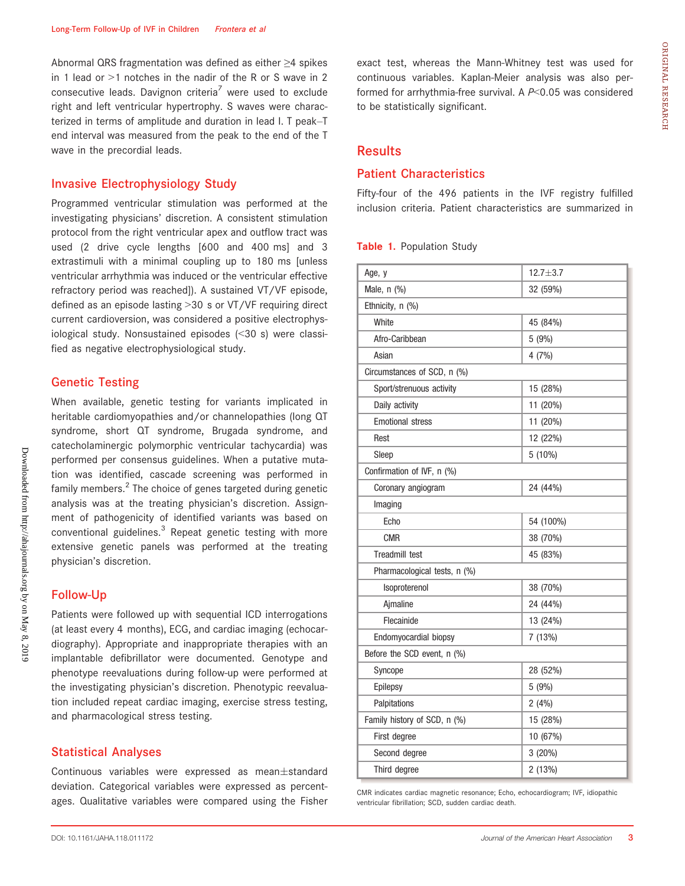Abnormal QRS fragmentation was defined as either ≥4 spikes in 1 lead or  $>1$  notches in the nadir of the R or S wave in 2 consecutive leads. Davignon criteria<sup>7</sup> were used to exclude right and left ventricular hypertrophy. S waves were characterized in terms of amplitude and duration in lead I. T peak–T end interval was measured from the peak to the end of the T wave in the precordial leads.

# Invasive Electrophysiology Study

Programmed ventricular stimulation was performed at the investigating physicians' discretion. A consistent stimulation protocol from the right ventricular apex and outflow tract was used (2 drive cycle lengths [600 and 400 ms] and 3 extrastimuli with a minimal coupling up to 180 ms [unless ventricular arrhythmia was induced or the ventricular effective refractory period was reached]). A sustained VT/VF episode, defined as an episode lasting >30 s or VT/VF requiring direct current cardioversion, was considered a positive electrophysiological study. Nonsustained episodes (<30 s) were classified as negative electrophysiological study.

# Genetic Testing

When available, genetic testing for variants implicated in heritable cardiomyopathies and/or channelopathies (long QT syndrome, short QT syndrome, Brugada syndrome, and catecholaminergic polymorphic ventricular tachycardia) was performed per consensus guidelines. When a putative mutation was identified, cascade screening was performed in family members. $2$  The choice of genes targeted during genetic analysis was at the treating physician's discretion. Assignment of pathogenicity of identified variants was based on conventional guidelines.<sup>3</sup> Repeat genetic testing with more extensive genetic panels was performed at the treating physician's discretion.

# Follow-Up

Patients were followed up with sequential ICD interrogations (at least every 4 months), ECG, and cardiac imaging (echocardiography). Appropriate and inappropriate therapies with an implantable defibrillator were documented. Genotype and phenotype reevaluations during follow-up were performed at the investigating physician's discretion. Phenotypic reevaluation included repeat cardiac imaging, exercise stress testing, and pharmacological stress testing.

#### Statistical Analyses

Continuous variables were expressed as mean $\pm$ standard deviation. Categorical variables were expressed as percentages. Qualitative variables were compared using the Fisher exact test, whereas the Mann-Whitney test was used for continuous variables. Kaplan-Meier analysis was also performed for arrhythmia-free survival. A  $P<0.05$  was considered to be statistically significant.

# Results

## Patient Characteristics

Fifty-four of the 496 patients in the IVF registry fulfilled inclusion criteria. Patient characteristics are summarized in

#### Table 1. Population Study

| Age, y                       | $12.7 + 3.7$ |  |  |
|------------------------------|--------------|--|--|
| Male, n (%)                  | 32 (59%)     |  |  |
| Ethnicity, n (%)             |              |  |  |
| White                        | 45 (84%)     |  |  |
| Afro-Caribbean               | 5 (9%)       |  |  |
| Asian                        | 4(7%)        |  |  |
| Circumstances of SCD, n (%)  |              |  |  |
| Sport/strenuous activity     | 15 (28%)     |  |  |
| Daily activity               | 11 (20%)     |  |  |
| <b>Emotional stress</b>      | 11 (20%)     |  |  |
| Rest                         | 12 (22%)     |  |  |
| Sleep                        | $5(10\%)$    |  |  |
| Confirmation of IVF, n (%)   |              |  |  |
| Coronary angiogram           | 24 (44%)     |  |  |
| Imaging                      |              |  |  |
| Echo                         | 54 (100%)    |  |  |
| <b>CMR</b>                   | 38 (70%)     |  |  |
| <b>Treadmill test</b>        | 45 (83%)     |  |  |
| Pharmacological tests, n (%) |              |  |  |
| Isoproterenol                | 38 (70%)     |  |  |
| Aimaline                     | 24 (44%)     |  |  |
| Flecainide                   | 13 (24%)     |  |  |
| Endomyocardial biopsy        | 7 (13%)      |  |  |
| Before the SCD event, n (%)  |              |  |  |
| Syncope                      | 28 (52%)     |  |  |
| Epilepsy                     | 5(9%)        |  |  |
| Palpitations                 | 2(4%)        |  |  |
| Family history of SCD, n (%) | 15 (28%)     |  |  |
| First degree                 | 10 (67%)     |  |  |
| Second degree                | 3(20%)       |  |  |
| Third degree                 | 2(13%)       |  |  |

CMR indicates cardiac magnetic resonance; Echo, echocardiogram; IVF, idiopathic ventricular fibrillation; SCD, sudden cardiac death.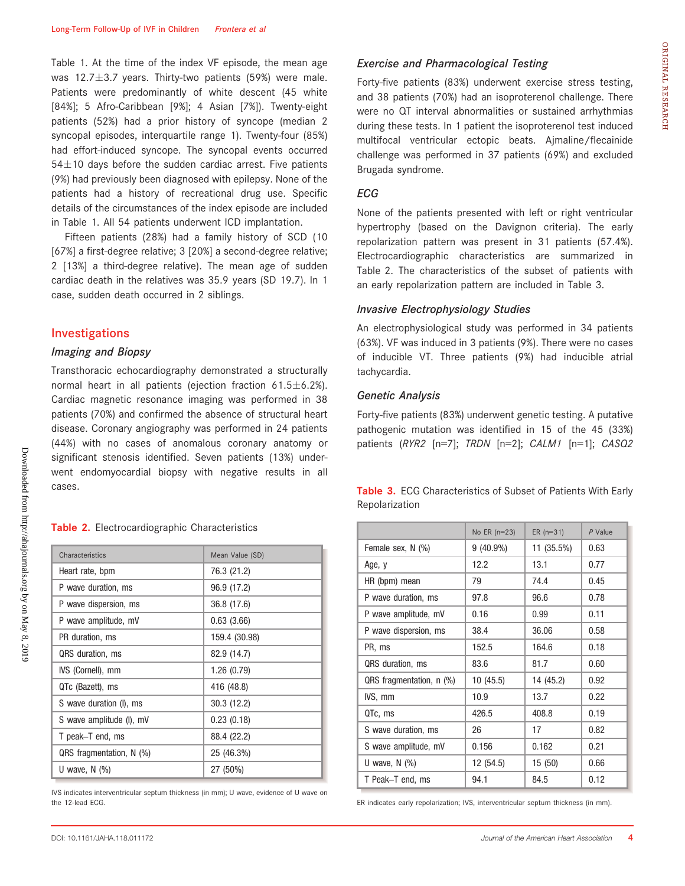Table 1. At the time of the index VF episode, the mean age was 12.7 $\pm$ 3.7 years. Thirty-two patients (59%) were male. Patients were predominantly of white descent (45 white [84%]; 5 Afro-Caribbean [9%]; 4 Asian [7%]). Twenty-eight patients (52%) had a prior history of syncope (median 2 syncopal episodes, interquartile range 1). Twenty-four (85%) had effort-induced syncope. The syncopal events occurred  $54\pm10$  days before the sudden cardiac arrest. Five patients (9%) had previously been diagnosed with epilepsy. None of the patients had a history of recreational drug use. Specific details of the circumstances of the index episode are included in Table 1. All 54 patients underwent ICD implantation.

Fifteen patients (28%) had a family history of SCD (10 [67%] a first-degree relative; 3 [20%] a second-degree relative; 2 [13%] a third-degree relative). The mean age of sudden cardiac death in the relatives was 35.9 years (SD 19.7). In 1 case, sudden death occurred in 2 siblings.

#### Investigations

#### Imaging and Biopsy

Transthoracic echocardiography demonstrated a structurally normal heart in all patients (ejection fraction  $61.5 \pm 6.2$ %). Cardiac magnetic resonance imaging was performed in 38 patients (70%) and confirmed the absence of structural heart disease. Coronary angiography was performed in 24 patients (44%) with no cases of anomalous coronary anatomy or significant stenosis identified. Seven patients (13%) underwent endomyocardial biopsy with negative results in all cases.

#### Table 2. Electrocardiographic Characteristics

| Characteristics            | Mean Value (SD) |
|----------------------------|-----------------|
| Heart rate, bpm            | 76.3 (21.2)     |
| P wave duration, ms        | 96.9 (17.2)     |
| P wave dispersion, ms      | 36.8 (17.6)     |
| P wave amplitude, mV       | 0.63(3.66)      |
| PR duration, ms            | 159.4 (30.98)   |
| QRS duration, ms           | 82.9 (14.7)     |
| IVS (Cornell), mm          | 1.26(0.79)      |
| QTc (Bazett), ms           | 416 (48.8)      |
| S wave duration (I), ms    | 30.3 (12.2)     |
| S wave amplitude (I), mV   | 0.23(0.18)      |
| T peak–T end, ms           | 88.4 (22.2)     |
| QRS fragmentation, $N$ (%) | 25 (46.3%)      |
| U wave, $N$ $(\%)$         | 27 (50%)        |

IVS indicates interventricular septum thickness (in mm); U wave, evidence of U wave on the 12-lead ECG.

## Exercise and Pharmacological Testing

Forty-five patients (83%) underwent exercise stress testing, and 38 patients (70%) had an isoproterenol challenge. There were no QT interval abnormalities or sustained arrhythmias during these tests. In 1 patient the isoproterenol test induced multifocal ventricular ectopic beats. Ajmaline/flecainide challenge was performed in 37 patients (69%) and excluded Brugada syndrome.

#### ECG

None of the patients presented with left or right ventricular hypertrophy (based on the Davignon criteria). The early repolarization pattern was present in 31 patients (57.4%). Electrocardiographic characteristics are summarized in Table 2. The characteristics of the subset of patients with an early repolarization pattern are included in Table 3.

#### Invasive Electrophysiology Studies

An electrophysiological study was performed in 34 patients (63%). VF was induced in 3 patients (9%). There were no cases of inducible VT. Three patients (9%) had inducible atrial tachycardia.

#### Genetic Analysis

Repolarization

Forty-five patients (83%) underwent genetic testing. A putative pathogenic mutation was identified in 15 of the 45 (33%) patients (RYR2 [n=7]; TRDN [n=2]; CALM1 [n=1]; CASQ2

Table 3. ECG Characteristics of Subset of Patients With Early

|                          | No $ER(n=23)$ | ER $(n=31)$ | $P$ Value |
|--------------------------|---------------|-------------|-----------|
| Female sex, N (%)        | $9(40.9\%)$   | 11 (35.5%)  | 0.63      |
| Age, y                   | 12.2          | 13.1        | 0.77      |
| HR (bpm) mean            | 79            | 74.4        | 0.45      |
| P wave duration, ms      | 97.8          | 96.6        | 0.78      |
| P wave amplitude, mV     | 0.16          | 0.99        | 0.11      |
| P wave dispersion, ms    | 38.4          | 36.06       | 0.58      |
| PR, ms                   | 152.5         | 164.6       | 0.18      |
| QRS duration, ms         | 83.6          | 81.7        | 0.60      |
| QRS fragmentation, n (%) | 10 (45.5)     | 14 (45.2)   | 0.92      |
| IVS, mm                  | 10.9          | 13.7        | 0.22      |
| QTc, ms                  | 426.5         | 408.8       | 0.19      |
| S wave duration, ms      | 26            | 17          | 0.82      |
| S wave amplitude, mV     | 0.156         | 0.162       | 0.21      |
| U wave, $N$ $(\%)$       | 12 (54.5)     | 15(50)      | 0.66      |
| T Peak–T end, ms         | 94.1          | 84.5        | 0.12      |

ER indicates early repolarization; IVS, interventricular septum thickness (in mm).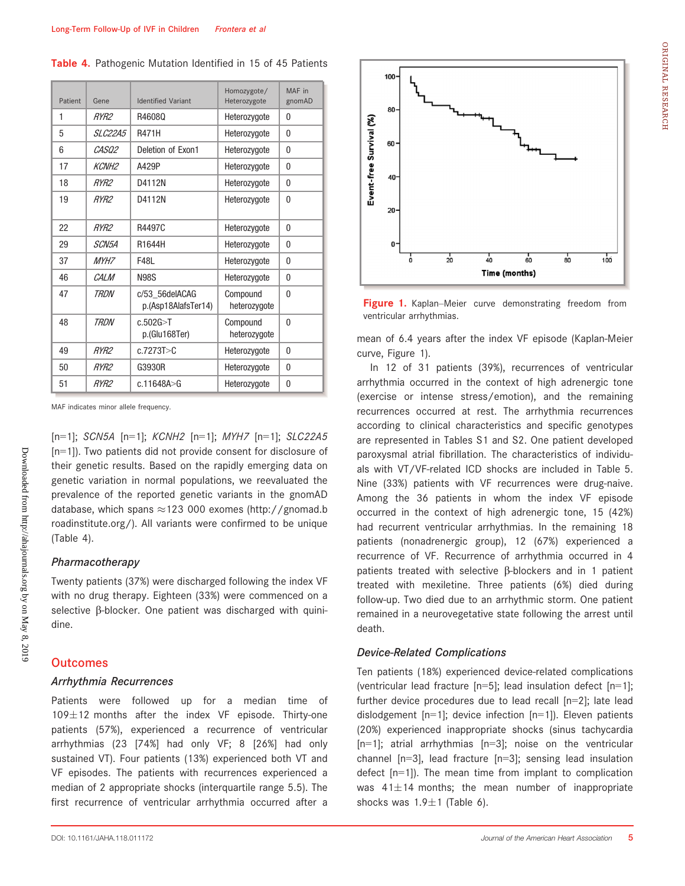| Patient | Gene             | <b>Identified Variant</b>             | Homozygote/<br>Heterozygote | MAF in<br>gnomAD |
|---------|------------------|---------------------------------------|-----------------------------|------------------|
| 1       | RYR <sub>2</sub> | R46080                                | Heterozygote                | $\theta$         |
| 5       | SIC2245          | <b>R471H</b>                          | Heterozygote                | $\theta$         |
| 6       | CASO2            | Deletion of Exon1                     | Heterozygote                | $\mathbf{0}$     |
| 17      | <b>KCNH2</b>     | A429P                                 | Heterozygote                | $\theta$         |
| 18      | RYR <sub>2</sub> | D4112N                                | Heterozygote                | $\mathbf{0}$     |
| 19      | RYR <sub>2</sub> | D4112N                                | Heterozygote                | $\mathbf{0}$     |
| 22      | RYR <sub>2</sub> | R4497C                                | Heterozygote                | $\mathbf{0}$     |
| 29      | <i>SCN5A</i>     | R1644H                                | Heterozygote                | $\mathbf{0}$     |
| 37      | <i>MYH7</i>      | F48I                                  | Heterozygote                | $\mathbf{0}$     |
| 46      | CAI M            | <b>N98S</b>                           | Heterozygote                | $\mathbf{0}$     |
| 47      | TRDN             | c/53 56deIACAG<br>p.(Asp18AlafsTer14) | Compound<br>heterozygote    | $\Omega$         |
| 48      | TRDN             | c.502G > T<br>p.(Glu168Ter)           | Compound<br>heterozygote    | $\Omega$         |
| 49      | RYR <sub>2</sub> | c.7273T > C                           | Heterozygote                | $\theta$         |
| 50      | RYR <sub>2</sub> | G3930R                                | Heterozygote                | $\Omega$         |
| 51      | RYR <sub>2</sub> | c.11648A > G                          | Heterozygote                | $\theta$         |

Table 4. Pathogenic Mutation Identified in 15 of 45 Patients

MAF indicates minor allele frequency.

[n=1]; SCN5A [n=1]; KCNH2 [n=1]; MYH7 [n=1]; SLC22A5 [n=1]). Two patients did not provide consent for disclosure of their genetic results. Based on the rapidly emerging data on genetic variation in normal populations, we reevaluated the prevalence of the reported genetic variants in the gnomAD database, which spans  $\approx$  123 000 exomes [\(http://gnomad.b](http://gnomad.broadinstitute.org/) [roadinstitute.org/\)](http://gnomad.broadinstitute.org/). All variants were confirmed to be unique (Table 4).

#### Pharmacotherapy

Downloaded from http://ahajournals.org by on May 8, 2019

Downloaded from http://ahajournals.org by on May 8, 2019

Twenty patients (37%) were discharged following the index VF with no drug therapy. Eighteen (33%) were commenced on a selective  $\beta$ -blocker. One patient was discharged with quinidine.

#### **Outcomes**

#### Arrhythmia Recurrences

Patients were followed up for a median time of  $109\pm12$  months after the index VF episode. Thirty-one patients (57%), experienced a recurrence of ventricular arrhythmias (23 [74%] had only VF; 8 [26%] had only sustained VT). Four patients (13%) experienced both VT and VF episodes. The patients with recurrences experienced a median of 2 appropriate shocks (interquartile range 5.5). The first recurrence of ventricular arrhythmia occurred after a



Figure 1. Kaplan–Meier curve demonstrating freedom from ventricular arrhythmias.

mean of 6.4 years after the index VF episode (Kaplan-Meier curve, Figure 1).

In 12 of 31 patients (39%), recurrences of ventricular arrhythmia occurred in the context of high adrenergic tone (exercise or intense stress/emotion), and the remaining recurrences occurred at rest. The arrhythmia recurrences according to clinical characteristics and specific genotypes are represented in Tables S1 and S2. One patient developed paroxysmal atrial fibrillation. The characteristics of individuals with VT/VF-related ICD shocks are included in Table 5. Nine (33%) patients with VF recurrences were drug-naive. Among the 36 patients in whom the index VF episode occurred in the context of high adrenergic tone, 15 (42%) had recurrent ventricular arrhythmias. In the remaining 18 patients (nonadrenergic group), 12 (67%) experienced a recurrence of VF. Recurrence of arrhythmia occurred in 4 patients treated with selective  $\beta$ -blockers and in 1 patient treated with mexiletine. Three patients (6%) died during follow-up. Two died due to an arrhythmic storm. One patient remained in a neurovegetative state following the arrest until death.

#### Device-Related Complications

Ten patients (18%) experienced device-related complications (ventricular lead fracture [n=5]; lead insulation defect [n=1]; further device procedures due to lead recall [n=2]; late lead dislodgement  $[n=1]$ ; device infection  $[n=1]$ ). Eleven patients (20%) experienced inappropriate shocks (sinus tachycardia  $[n=1]$ ; atrial arrhythmias  $[n=3]$ ; noise on the ventricular channel [n=3], lead fracture [n=3]; sensing lead insulation defect [n=1]). The mean time from implant to complication was  $41\pm14$  months; the mean number of inappropriate shocks was  $1.9 \pm 1$  (Table 6).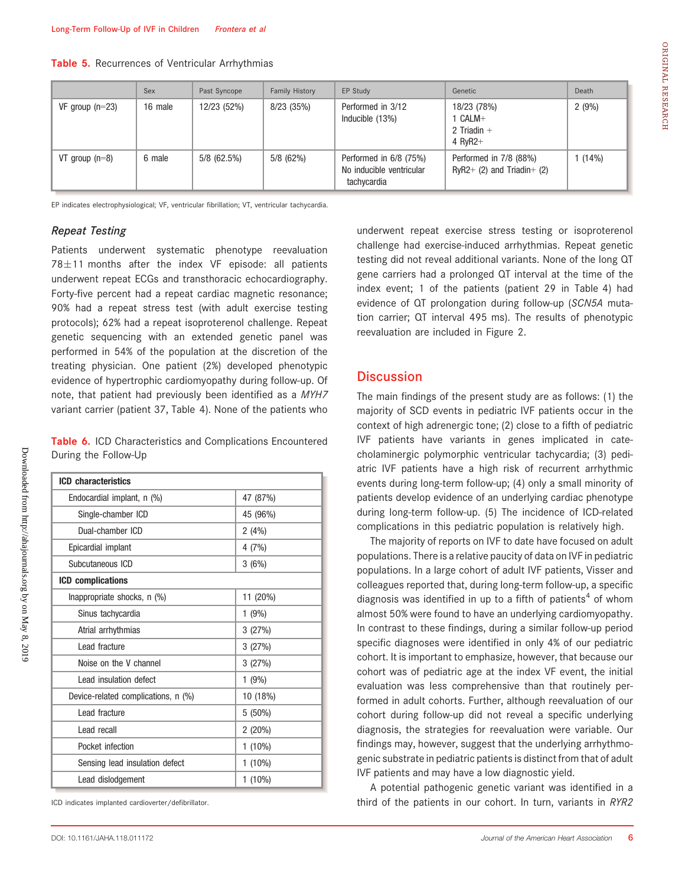|  |  | Table 5. Recurrences of Ventricular Arrhythmias |  |  |  |  |
|--|--|-------------------------------------------------|--|--|--|--|
|--|--|-------------------------------------------------|--|--|--|--|

|                   | Sex     | Past Syncope  | Family History | EP Study                                                          | Genetic                                              | Death |
|-------------------|---------|---------------|----------------|-------------------------------------------------------------------|------------------------------------------------------|-------|
| VF group $(n=23)$ | 16 male | 12/23 (52%)   | 8/23(35%)      | Performed in 3/12<br>Inducible (13%)                              | 18/23 (78%)<br>1 CALM+<br>2 Triadin $+$<br>4 $RvR2+$ | 2(9%) |
| VT group $(n=8)$  | 6 male  | $5/8$ (62.5%) | 5/8(62%)       | Performed in 6/8 (75%)<br>No inducible ventricular<br>tachycardia | Performed in 7/8 (88%)<br>RyR2+ (2) and Triadin+ (2) | (14%) |

EP indicates electrophysiological; VF, ventricular fibrillation; VT, ventricular tachycardia.

#### Repeat Testing

Downloaded from http://ahajournals.org by on May 8, 2019

Downloaded from http://ahajournals.org by on May 8, 2019

Patients underwent systematic phenotype reevaluation  $78 \pm 11$  months after the index VF episode: all patients underwent repeat ECGs and transthoracic echocardiography. Forty-five percent had a repeat cardiac magnetic resonance; 90% had a repeat stress test (with adult exercise testing protocols); 62% had a repeat isoproterenol challenge. Repeat genetic sequencing with an extended genetic panel was performed in 54% of the population at the discretion of the treating physician. One patient (2%) developed phenotypic evidence of hypertrophic cardiomyopathy during follow-up. Of note, that patient had previously been identified as a MYH7 variant carrier (patient 37, Table 4). None of the patients who

Table 6. ICD Characteristics and Complications Encountered During the Follow-Up

| <b>ICD</b> characteristics          |           |
|-------------------------------------|-----------|
| Endocardial implant, n (%)          | 47 (87%)  |
| Single-chamber ICD                  | 45 (96%)  |
| Dual-chamber ICD                    | 2(4%)     |
| Epicardial implant                  | 4(7%)     |
| Subcutaneous ICD                    | 3(6%)     |
| <b>ICD</b> complications            |           |
| Inappropriate shocks, n (%)         | 11 (20%)  |
| Sinus tachycardia                   | 1(9%)     |
| Atrial arrhythmias                  | 3(27%)    |
| I ead fracture                      | 3(27%)    |
| Noise on the V channel              | 3(27%)    |
| Lead insulation defect              | $1(9\%)$  |
| Device-related complications, n (%) | 10 (18%)  |
| Lead fracture                       | $5(50\%)$ |
| Lead recall                         | $2(20\%)$ |
| Pocket infection                    | $1(10\%)$ |
| Sensing lead insulation defect      | $1(10\%)$ |
| Lead dislodgement                   | $1(10\%)$ |

ICD indicates implanted cardioverter/defibrillator.

underwent repeat exercise stress testing or isoproterenol challenge had exercise-induced arrhythmias. Repeat genetic testing did not reveal additional variants. None of the long QT gene carriers had a prolonged QT interval at the time of the index event; 1 of the patients (patient 29 in Table 4) had evidence of QT prolongation during follow-up (SCN5A mutation carrier; QT interval 495 ms). The results of phenotypic reevaluation are included in Figure 2.

# **Discussion**

The main findings of the present study are as follows: (1) the majority of SCD events in pediatric IVF patients occur in the context of high adrenergic tone; (2) close to a fifth of pediatric IVF patients have variants in genes implicated in catecholaminergic polymorphic ventricular tachycardia; (3) pediatric IVF patients have a high risk of recurrent arrhythmic events during long-term follow-up; (4) only a small minority of patients develop evidence of an underlying cardiac phenotype during long-term follow-up. (5) The incidence of ICD-related complications in this pediatric population is relatively high.

The majority of reports on IVF to date have focused on adult populations. There is a relative paucity of data on IVF in pediatric populations. In a large cohort of adult IVF patients, Visser and colleagues reported that, during long-term follow-up, a specific diagnosis was identified in up to a fifth of patients<sup>4</sup> of whom almost 50% were found to have an underlying cardiomyopathy. In contrast to these findings, during a similar follow-up period specific diagnoses were identified in only 4% of our pediatric cohort. It is important to emphasize, however, that because our cohort was of pediatric age at the index VF event, the initial evaluation was less comprehensive than that routinely performed in adult cohorts. Further, although reevaluation of our cohort during follow-up did not reveal a specific underlying diagnosis, the strategies for reevaluation were variable. Our findings may, however, suggest that the underlying arrhythmogenic substrate in pediatric patients is distinct from that of adult IVF patients and may have a low diagnostic yield.

A potential pathogenic genetic variant was identified in a third of the patients in our cohort. In turn, variants in RYR2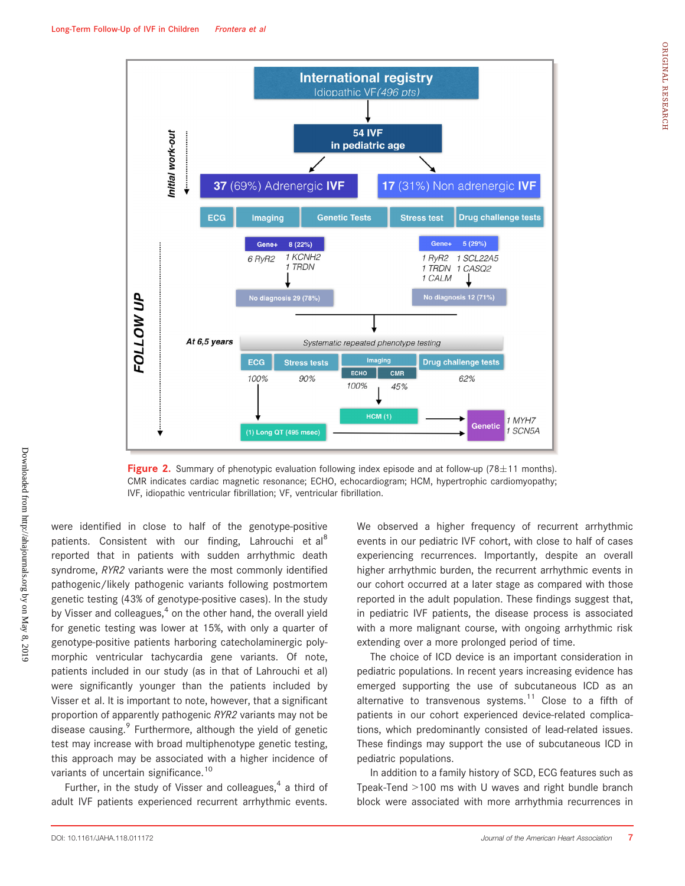

**Figure 2.** Summary of phenotypic evaluation following index episode and at follow-up (78 $\pm$ 11 months). CMR indicates cardiac magnetic resonance; ECHO, echocardiogram; HCM, hypertrophic cardiomyopathy; IVF, idiopathic ventricular fibrillation; VF, ventricular fibrillation.

were identified in close to half of the genotype-positive patients. Consistent with our finding, Lahrouchi et al<sup>8</sup> reported that in patients with sudden arrhythmic death syndrome, RYR2 variants were the most commonly identified pathogenic/likely pathogenic variants following postmortem genetic testing (43% of genotype-positive cases). In the study by Visser and colleagues, $4$  on the other hand, the overall yield for genetic testing was lower at 15%, with only a quarter of genotype-positive patients harboring catecholaminergic polymorphic ventricular tachycardia gene variants. Of note, patients included in our study (as in that of Lahrouchi et al) were significantly younger than the patients included by Visser et al. It is important to note, however, that a significant proportion of apparently pathogenic RYR2 variants may not be disease causing.<sup>9</sup> Furthermore, although the yield of genetic test may increase with broad multiphenotype genetic testing, this approach may be associated with a higher incidence of variants of uncertain significance.<sup>10</sup>

Further, in the study of Visser and colleagues, $4$  a third of adult IVF patients experienced recurrent arrhythmic events. We observed a higher frequency of recurrent arrhythmic events in our pediatric IVF cohort, with close to half of cases experiencing recurrences. Importantly, despite an overall higher arrhythmic burden, the recurrent arrhythmic events in our cohort occurred at a later stage as compared with those reported in the adult population. These findings suggest that, in pediatric IVF patients, the disease process is associated with a more malignant course, with ongoing arrhythmic risk extending over a more prolonged period of time.

The choice of ICD device is an important consideration in pediatric populations. In recent years increasing evidence has emerged supporting the use of subcutaneous ICD as an alternative to transvenous systems.<sup>11</sup> Close to a fifth of patients in our cohort experienced device-related complications, which predominantly consisted of lead-related issues. These findings may support the use of subcutaneous ICD in pediatric populations.

In addition to a family history of SCD, ECG features such as Tpeak-Tend >100 ms with U waves and right bundle branch block were associated with more arrhythmia recurrences in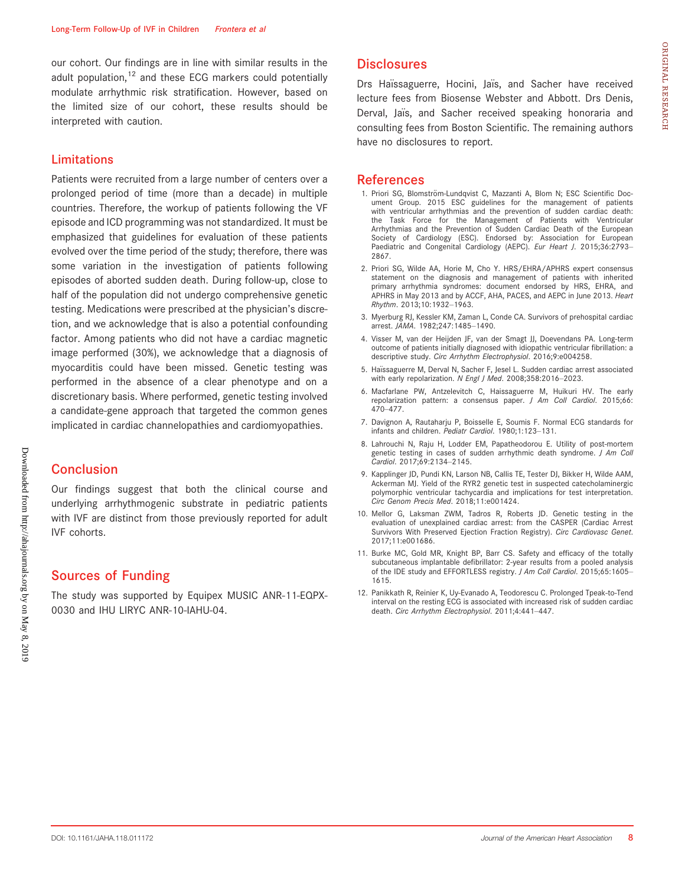our cohort. Our findings are in line with similar results in the adult population, $12$  and these ECG markers could potentially modulate arrhythmic risk stratification. However, based on the limited size of our cohort, these results should be interpreted with caution.

# Limitations

Patients were recruited from a large number of centers over a prolonged period of time (more than a decade) in multiple countries. Therefore, the workup of patients following the VF episode and ICD programming was not standardized. It must be emphasized that guidelines for evaluation of these patients evolved over the time period of the study; therefore, there was some variation in the investigation of patients following episodes of aborted sudden death. During follow-up, close to half of the population did not undergo comprehensive genetic testing. Medications were prescribed at the physician's discretion, and we acknowledge that is also a potential confounding factor. Among patients who did not have a cardiac magnetic image performed (30%), we acknowledge that a diagnosis of myocarditis could have been missed. Genetic testing was performed in the absence of a clear phenotype and on a discretionary basis. Where performed, genetic testing involved a candidate-gene approach that targeted the common genes implicated in cardiac channelopathies and cardiomyopathies.

# Conclusion

Our findings suggest that both the clinical course and underlying arrhythmogenic substrate in pediatric patients with IVF are distinct from those previously reported for adult IVF cohorts.

# Sources of Funding

The study was supported by Equipex MUSIC ANR-11-EQPX-0030 and IHU LIRYC ANR-10-IAHU-04.

# **Disclosures**

Drs Haïssaguerre, Hocini, Jaïs, and Sacher have received lecture fees from Biosense Webster and Abbott. Drs Denis, Derval, Jaïs, and Sacher received speaking honoraria and consulting fees from Boston Scientific. The remaining authors have no disclosures to report.

# References

- 1. Priori SG, Blomström-Lundqvist C, Mazzanti A, Blom N; ESC Scientific Document Group. 2015 ESC guidelines for the management of patients with ventricular arrhythmias and the prevention of sudden cardiac death: the Task Force for the Management of Patients with Ventricular Arrhythmias and the Prevention of Sudden Cardiac Death of the European Society of Cardiology (ESC). Endorsed by: Association for European Paediatric and Congenital Cardiology (AEPC). Eur Heart J. 2015;36:2793-2867.
- 2. Priori SG, Wilde AA, Horie M, Cho Y. HRS/EHRA/APHRS expert consensus statement on the diagnosis and management of patients with inherited primary arrhythmia syndromes: document endorsed by HRS, EHRA, and APHRS in May 2013 and by ACCF, AHA, PACES, and AEPC in June 2013. Heart Rhythm. 2013;10:1932–1963.
- 3. Myerburg RJ, Kessler KM, Zaman L, Conde CA. Survivors of prehospital cardiac arrest. JAMA. 1982;247:1485–1490.
- 4. Visser M, van der Heijden JF, van der Smagt JJ, Doevendans PA. Long-term outcome of patients initially diagnosed with idiopathic ventricular fibrillation: a descriptive study. Circ Arrhythm Electrophysiol. 2016;9:e004258.
- 5. Haïssaguerre M, Derval N, Sacher F, Jesel L. Sudden cardiac arrest associated with early repolarization. N Engl J Med. 2008;358:2016–2023.
- 6. Macfarlane PW, Antzelevitch C, Haissaguerre M, Huikuri HV. The early repolarization pattern: a consensus paper. J Am Coll Cardiol. 2015;66: 470–477.
- 7. Davignon A, Rautaharju P, Boisselle E, Soumis F. Normal ECG standards for infants and children. Pediatr Cardiol. 1980;1:123-131.
- 8. Lahrouchi N, Raju H, Lodder EM, Papatheodorou E. Utility of post-mortem genetic testing in cases of sudden arrhythmic death syndrome. J Am Coll Cardiol. 2017;69:2134–2145.
- 9. Kapplinger JD, Pundi KN, Larson NB, Callis TE, Tester DJ, Bikker H, Wilde AAM, Ackerman MJ. Yield of the RYR2 genetic test in suspected catecholaminergic polymorphic ventricular tachycardia and implications for test interpretation. Circ Genom Precis Med. 2018;11:e001424.
- 10. Mellor G, Laksman ZWM, Tadros R, Roberts JD. Genetic testing in the evaluation of unexplained cardiac arrest: from the CASPER (Cardiac Arrest Survivors With Preserved Ejection Fraction Registry). Circ Cardiovasc Genet. 2017;11:e001686.
- 11. Burke MC, Gold MR, Knight BP, Barr CS. Safety and efficacy of the totally subcutaneous implantable defibrillator: 2-year results from a pooled analysis of the IDE study and EFFORTLESS registry. J Am Coll Cardiol. 2015;65:1605– 1615.
- 12. Panikkath R, Reinier K, Uy-Evanado A, Teodorescu C. Prolonged Tpeak-to-Tend interval on the resting ECG is associated with increased risk of sudden cardiac death. Circ Arrhythm Electrophysiol. 2011;4:441–447.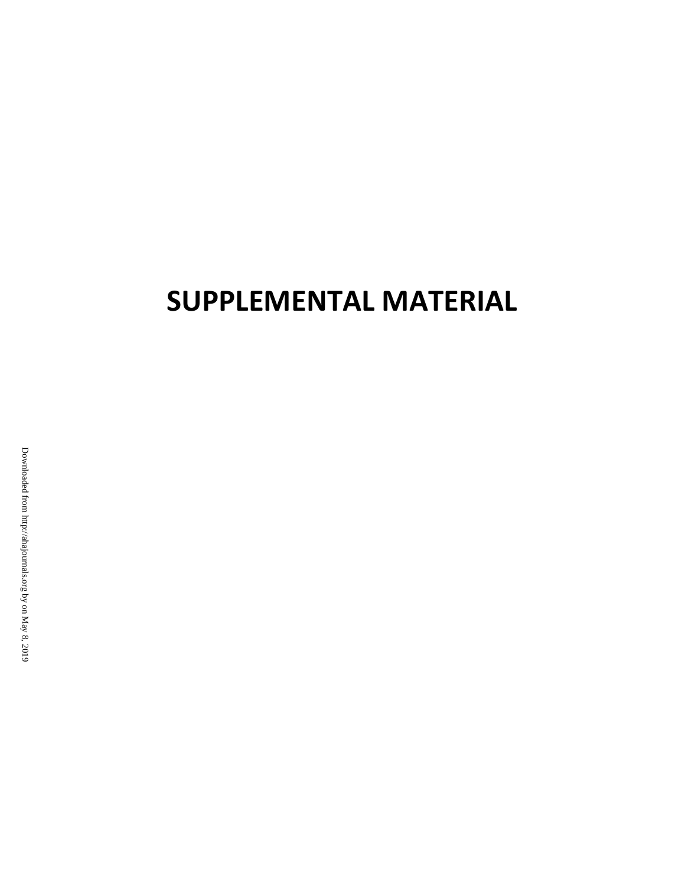# **SUPPLEMENTAL MATERIAL**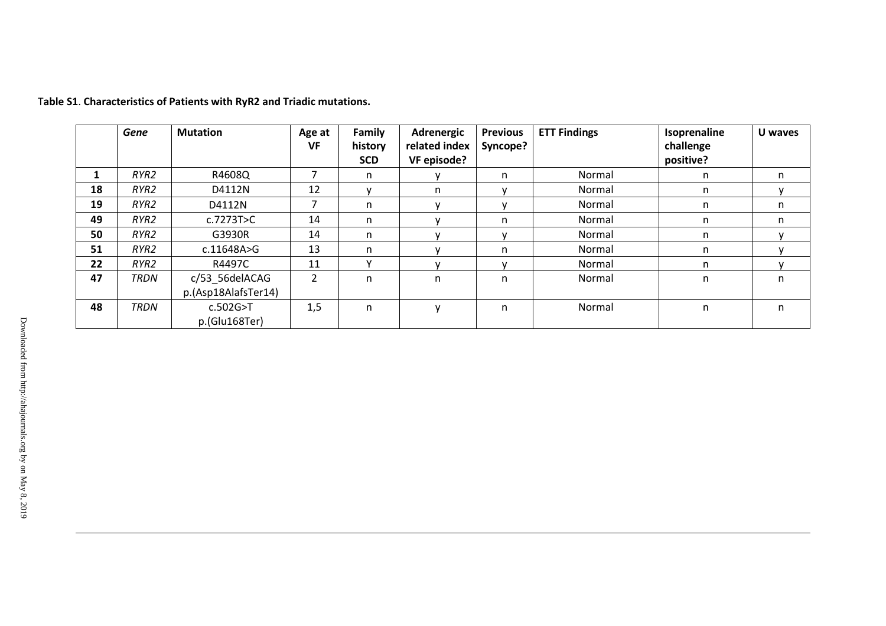|    | Gene        | <b>Mutation</b>             | Age at | Family      | Adrenergic    | <b>Previous</b> | <b>ETT Findings</b> | Isoprenaline | U waves |
|----|-------------|-----------------------------|--------|-------------|---------------|-----------------|---------------------|--------------|---------|
|    |             |                             | VF     | history     | related index | Syncope?        |                     | challenge    |         |
|    |             |                             |        | <b>SCD</b>  | VF episode?   |                 |                     | positive?    |         |
|    | RYR2        | R4608Q                      |        | n           |               | n               | Normal              | n            | n       |
| 18 | RYR2        | D4112N                      | 12     |             | n.            |                 | Normal              | n.           |         |
| 19 | RYR2        | D4112N                      |        | n           |               |                 | Normal              | n            | n       |
| 49 | RYR2        | c.7273T>C                   | 14     | n           |               | n               | Normal              | n            | n       |
| 50 | RYR2        | G3930R                      | 14     | n           |               |                 | Normal              | n            |         |
| 51 | RYR2        | c.11648A>G                  | 13     | n           |               | n               | Normal              | n.           |         |
| 22 | RYR2        | R4497C                      | 11     | $\mathbf v$ |               |                 | Normal              | n            |         |
| 47 | <b>TRDN</b> | c/53_56delACAG              | 2      | n           | n             | n               | Normal              | n            | n       |
|    |             | p.(Asp18AlafsTer14)         |        |             |               |                 |                     |              |         |
| 48 | <b>TRDN</b> | c.502G > T<br>p.(Glu168Ter) | 1,5    | n           | $\mathsf{V}$  | n               | Normal              | n            | n       |

T**able S1**. **Characteristics of Patients with RyR2 and Triadic mutations.**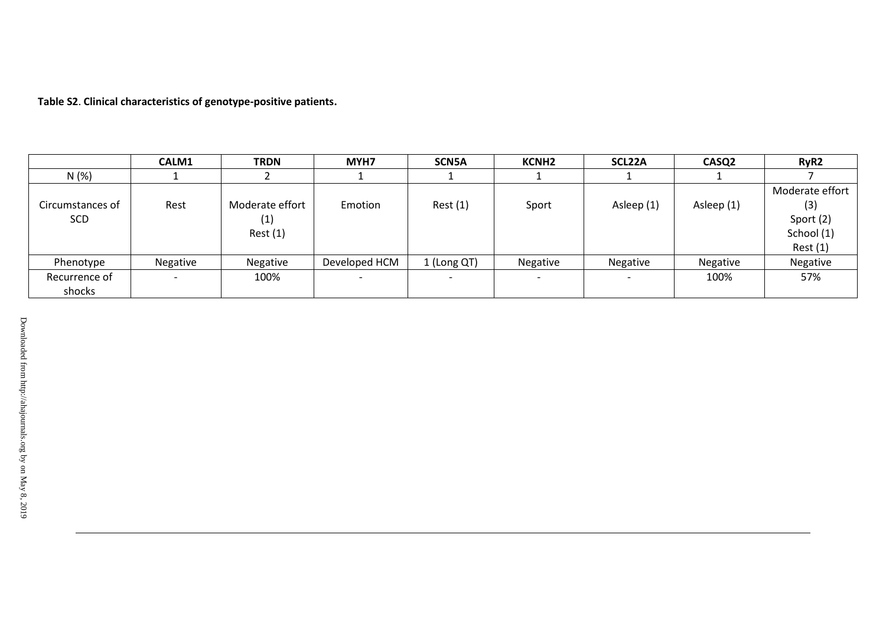**Table S2**. **Clinical characteristics of genotype-positive patients.**

|                         | CALM1    | <b>TRDN</b>                       | MYH7          | <b>SCN5A</b> | <b>KCNH2</b> | SCL22A     | CASQ <sub>2</sub> | RyR <sub>2</sub>                                             |
|-------------------------|----------|-----------------------------------|---------------|--------------|--------------|------------|-------------------|--------------------------------------------------------------|
| N(%)                    |          |                                   |               |              |              |            |                   |                                                              |
| Circumstances of<br>SCD | Rest     | Moderate effort<br>(1)<br>Rest(1) | Emotion       | Rest(1)      | Sport        | Asleep (1) | Asleep (1)        | Moderate effort<br>(3)<br>Sport (2)<br>School (1)<br>Rest(1) |
| Phenotype               | Negative | Negative                          | Developed HCM | 1 (Long QT)  | Negative     | Negative   | Negative          | Negative                                                     |
| Recurrence of           |          | 100%                              |               |              |              |            | 100%              | 57%                                                          |
| shocks                  |          |                                   |               |              |              |            |                   |                                                              |